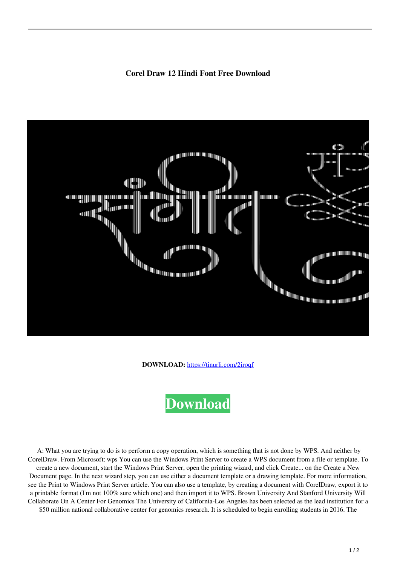## **Corel Draw 12 Hindi Font Free Download**



**DOWNLOAD:** <https://tinurli.com/2iroqf>



 A: What you are trying to do is to perform a copy operation, which is something that is not done by WPS. And neither by CorelDraw. From Microsoft: wps You can use the Windows Print Server to create a WPS document from a file or template. To create a new document, start the Windows Print Server, open the printing wizard, and click Create... on the Create a New Document page. In the next wizard step, you can use either a document template or a drawing template. For more information, see the Print to Windows Print Server article. You can also use a template, by creating a document with CorelDraw, export it to a printable format (I'm not 100% sure which one) and then import it to WPS. Brown University And Stanford University Will Collaborate On A Center For Genomics The University of California-Los Angeles has been selected as the lead institution for a \$50 million national collaborative center for genomics research. It is scheduled to begin enrolling students in 2016. The